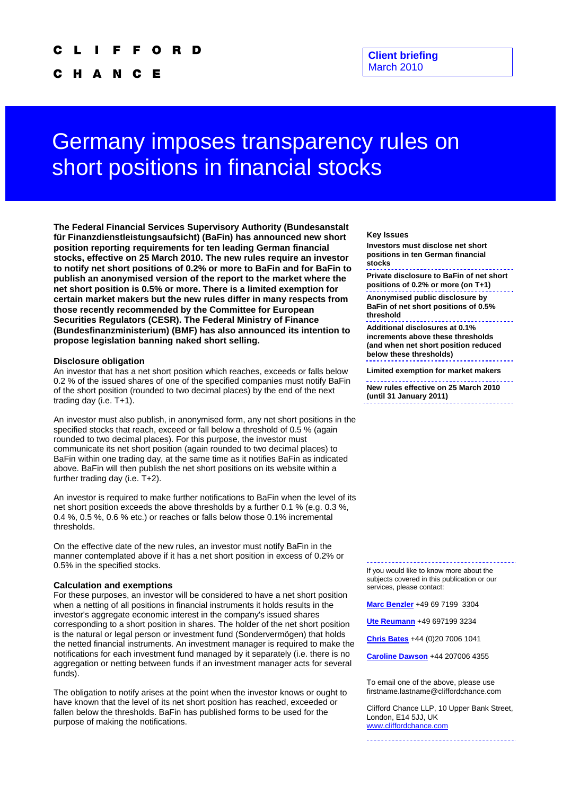#### Ω R D

H A N C Е

# Germany imposes transparency rules on short positions in financial stocks

**The Federal Financial Services Supervisory Authority (Bundesanstalt für Finanzdienstleistungsaufsicht) (BaFin) has announced new short position reporting requirements for ten leading German financial stocks, effective on 25 March 2010. The new rules require an investor to notify net short positions of 0.2% or more to BaFin and for BaFin to publish an anonymised version of the report to the market where the net short position is 0.5% or more. There is a limited exemption for certain market makers but the new rules differ in many respects from those recently recommended by the Committee for European Securities Regulators (CESR). The Federal Ministry of Finance (Bundesfinanzministerium) (BMF) has also announced its intention to propose legislation banning naked short selling.** 

### **Disclosure obligation**

An investor that has a net short position which reaches, exceeds or falls below 0.2 % of the issued shares of one of the specified companies must notify BaFin of the short position (rounded to two decimal places) by the end of the next trading day (i.e. T+1).

An investor must also publish, in anonymised form, any net short positions in the specified stocks that reach, exceed or fall below a threshold of 0.5 % (again rounded to two decimal places). For this purpose, the investor must communicate its net short position (again rounded to two decimal places) to BaFin within one trading day, at the same time as it notifies BaFin as indicated above. BaFin will then publish the net short positions on its website within a further trading day (i.e. T+2).

An investor is required to make further notifications to BaFin when the level of its net short position exceeds the above thresholds by a further 0.1 % (e.g. 0.3 %, 0.4 %, 0.5 %, 0.6 % etc.) or reaches or falls below those 0.1% incremental thresholds.

On the effective date of the new rules, an investor must notify BaFin in the manner contemplated above if it has a net short position in excess of 0.2% or 0.5% in the specified stocks.<br>If you would like to know more about the

#### **Calculation and exemptions**

For these purposes, an investor will be considered to have a net short position when a netting of all positions in financial instruments it holds results in the investor's aggregate economic interest in the company's issued shares corresponding to a short position in shares. The holder of the net short position is the natural or legal person or investment fund (Sondervermögen) that holds the netted financial instruments. An investment manager is required to make the notifications for each investment fund managed by it separately (i.e. there is no aggregation or netting between funds if an investment manager acts for several funds).

The obligation to notify arises at the point when the investor knows or ought to have known that the level of its net short position has reached, exceeded or fallen below the thresholds. BaFin has published forms to be used for the purpose of making the notifications.

#### **Key Issues**

**Investors must disclose net short positions in ten German financial stocks** 

**Private disclosure to BaFin of net short positions of 0.2% or more (on T+1)** 

**Anonymised public disclosure by BaFin of net short positions of 0.5% threshold** 

**Additional disclosures at 0.1% increments above these thresholds (and when net short position reduced below these thresholds)** 

**Limited exemption for market makers** 

**New rules effective on 25 March 2010 (until 31 January 2011)** 

subjects covered in this publication or our services, please contact:

**[Marc Benzler](mailto:Marc.Benzler@cliffordchance.com)** +49 69 7199 3304

**[Ute Reumann](mailto:Ute.Reumann@CliffordChance.com)** +49 697199 3234

**[Chris Bates](mailto:Chris.Bates@cliffordchance.com)** +44 (0)20 7006 1041

**[Caroline Dawson](mailto:Caroline.Dawson@CliffordChance.com)** +44 207006 4355

To email one of the above, please use firstname.lastname@cliffordchance.com

Clifford Chance LLP, 10 Upper Bank Street, London, E14 5JJ, UK [www.cliffordchance.com](http://www.cliffordchance.com/)